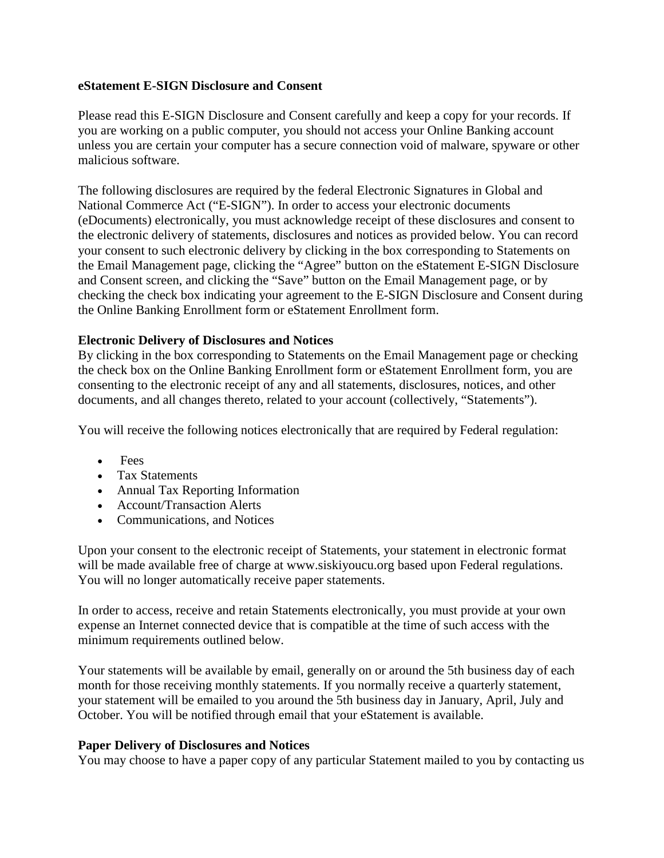## **eStatement E-SIGN Disclosure and Consent**

Please read this E-SIGN Disclosure and Consent carefully and keep a copy for your records. If you are working on a public computer, you should not access your Online Banking account unless you are certain your computer has a secure connection void of malware, spyware or other malicious software.

The following disclosures are required by the federal Electronic Signatures in Global and National Commerce Act ("E-SIGN"). In order to access your electronic documents (eDocuments) electronically, you must acknowledge receipt of these disclosures and consent to the electronic delivery of statements, disclosures and notices as provided below. You can record your consent to such electronic delivery by clicking in the box corresponding to Statements on the Email Management page, clicking the "Agree" button on the eStatement E-SIGN Disclosure and Consent screen, and clicking the "Save" button on the Email Management page, or by checking the check box indicating your agreement to the E-SIGN Disclosure and Consent during the Online Banking Enrollment form or eStatement Enrollment form.

# **Electronic Delivery of Disclosures and Notices**

By clicking in the box corresponding to Statements on the Email Management page or checking the check box on the Online Banking Enrollment form or eStatement Enrollment form, you are consenting to the electronic receipt of any and all statements, disclosures, notices, and other documents, and all changes thereto, related to your account (collectively, "Statements").

You will receive the following notices electronically that are required by Federal regulation:

- Fees
- Tax Statements
- Annual Tax Reporting Information
- Account/Transaction Alerts
- Communications, and Notices

Upon your consent to the electronic receipt of Statements, your statement in electronic format will be made available free of charge at www.siskiyoucu.org based upon Federal regulations. You will no longer automatically receive paper statements.

In order to access, receive and retain Statements electronically, you must provide at your own expense an Internet connected device that is compatible at the time of such access with the minimum requirements outlined below.

Your statements will be available by email, generally on or around the 5th business day of each month for those receiving monthly statements. If you normally receive a quarterly statement, your statement will be emailed to you around the 5th business day in January, April, July and October. You will be notified through email that your eStatement is available.

# **Paper Delivery of Disclosures and Notices**

You may choose to have a paper copy of any particular Statement mailed to you by contacting us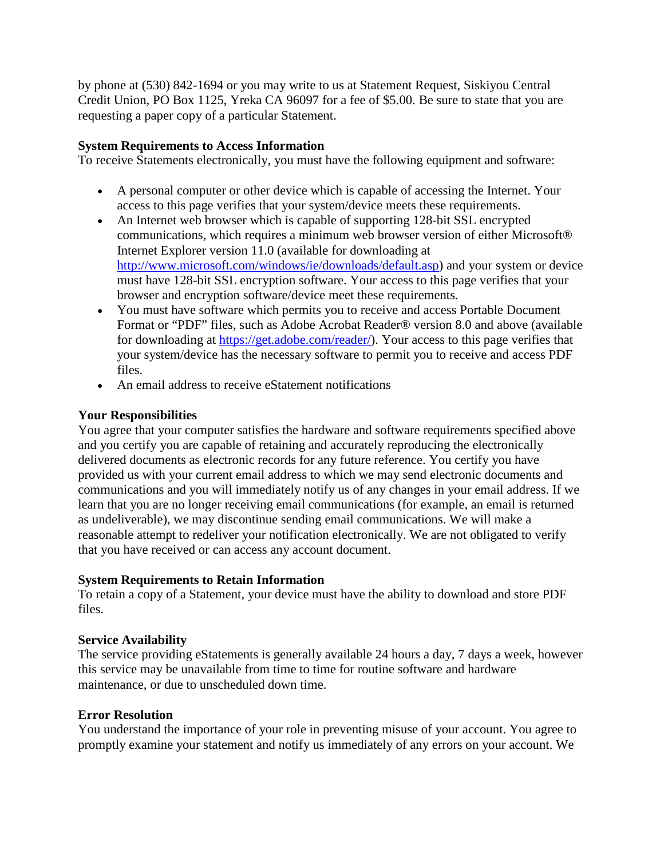by phone at (530) 842-1694 or you may write to us at Statement Request, Siskiyou Central Credit Union, PO Box 1125, Yreka CA 96097 for a fee of \$5.00. Be sure to state that you are requesting a paper copy of a particular Statement.

## **System Requirements to Access Information**

To receive Statements electronically, you must have the following equipment and software:

- A personal computer or other device which is capable of accessing the Internet. Your access to this page verifies that your system/device meets these requirements.
- An Internet web browser which is capable of supporting 128-bit SSL encrypted communications, which requires a minimum web browser version of either Microsoft® Internet Explorer version 11.0 (available for downloading at [http://www.microsoft.com/windows/ie/downloads/default.asp\)](http://www.microsoft.com/windows/ie/downloads/default.asp) and your system or device must have 128-bit SSL encryption software. Your access to this page verifies that your browser and encryption software/device meet these requirements.
- You must have software which permits you to receive and access Portable Document Format or "PDF" files, such as Adobe Acrobat Reader® version 8.0 and above (available for downloading at [https://get.adobe.com/reader/\)](https://get.adobe.com/reader/). Your access to this page verifies that your system/device has the necessary software to permit you to receive and access PDF files.
- An email address to receive eStatement notifications

## **Your Responsibilities**

You agree that your computer satisfies the hardware and software requirements specified above and you certify you are capable of retaining and accurately reproducing the electronically delivered documents as electronic records for any future reference. You certify you have provided us with your current email address to which we may send electronic documents and communications and you will immediately notify us of any changes in your email address. If we learn that you are no longer receiving email communications (for example, an email is returned as undeliverable), we may discontinue sending email communications. We will make a reasonable attempt to redeliver your notification electronically. We are not obligated to verify that you have received or can access any account document.

### **System Requirements to Retain Information**

To retain a copy of a Statement, your device must have the ability to download and store PDF files.

### **Service Availability**

The service providing eStatements is generally available 24 hours a day, 7 days a week, however this service may be unavailable from time to time for routine software and hardware maintenance, or due to unscheduled down time.

### **Error Resolution**

You understand the importance of your role in preventing misuse of your account. You agree to promptly examine your statement and notify us immediately of any errors on your account. We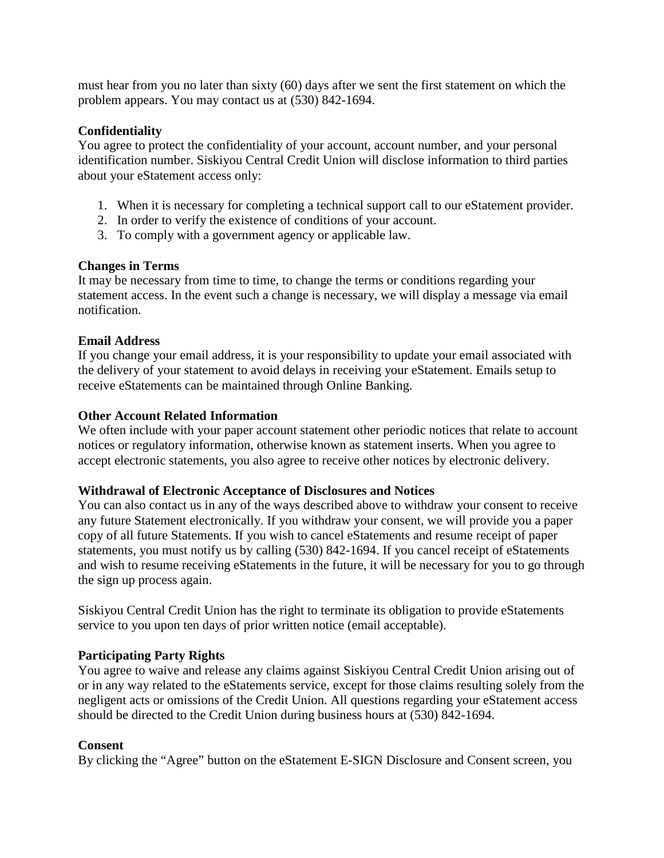must hear from you no later than sixty (60) days after we sent the first statement on which the problem appears. You may contact us at (530) 842-1694.

## **Confidentiality**

You agree to protect the confidentiality of your account, account number, and your personal identification number. Siskiyou Central Credit Union will disclose information to third parties about your eStatement access only:

- 1. When it is necessary for completing a technical support call to our eStatement provider.
- 2. In order to verify the existence of conditions of your account.
- 3. To comply with a government agency or applicable law.

## **Changes in Terms**

It may be necessary from time to time, to change the terms or conditions regarding your statement access. In the event such a change is necessary, we will display a message via email notification.

## **Email Address**

If you change your email address, it is your responsibility to update your email associated with the delivery of your statement to avoid delays in receiving your eStatement. Emails setup to receive eStatements can be maintained through Online Banking.

### **Other Account Related Information**

We often include with your paper account statement other periodic notices that relate to account notices or regulatory information, otherwise known as statement inserts. When you agree to accept electronic statements, you also agree to receive other notices by electronic delivery.

### **Withdrawal of Electronic Acceptance of Disclosures and Notices**

You can also contact us in any of the ways described above to withdraw your consent to receive any future Statement electronically. If you withdraw your consent, we will provide you a paper copy of all future Statements. If you wish to cancel eStatements and resume receipt of paper statements, you must notify us by calling (530) 842-1694. If you cancel receipt of eStatements and wish to resume receiving eStatements in the future, it will be necessary for you to go through the sign up process again.

Siskiyou Central Credit Union has the right to terminate its obligation to provide eStatements service to you upon ten days of prior written notice (email acceptable).

# **Participating Party Rights**

You agree to waive and release any claims against Siskiyou Central Credit Union arising out of or in any way related to the eStatements service, except for those claims resulting solely from the negligent acts or omissions of the Credit Union. All questions regarding your eStatement access should be directed to the Credit Union during business hours at (530) 842-1694.

# **Consent**

By clicking the "Agree" button on the eStatement E-SIGN Disclosure and Consent screen, you